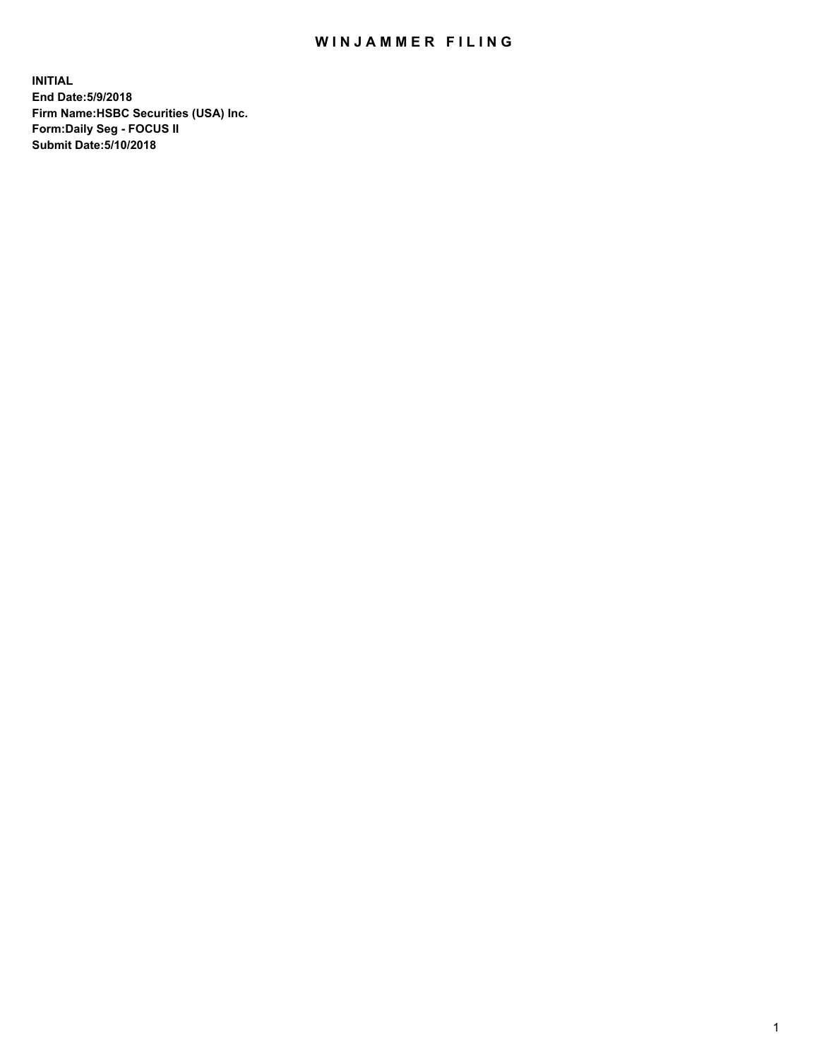## WIN JAMMER FILING

**INITIAL End Date:5/9/2018 Firm Name:HSBC Securities (USA) Inc. Form:Daily Seg - FOCUS II Submit Date:5/10/2018**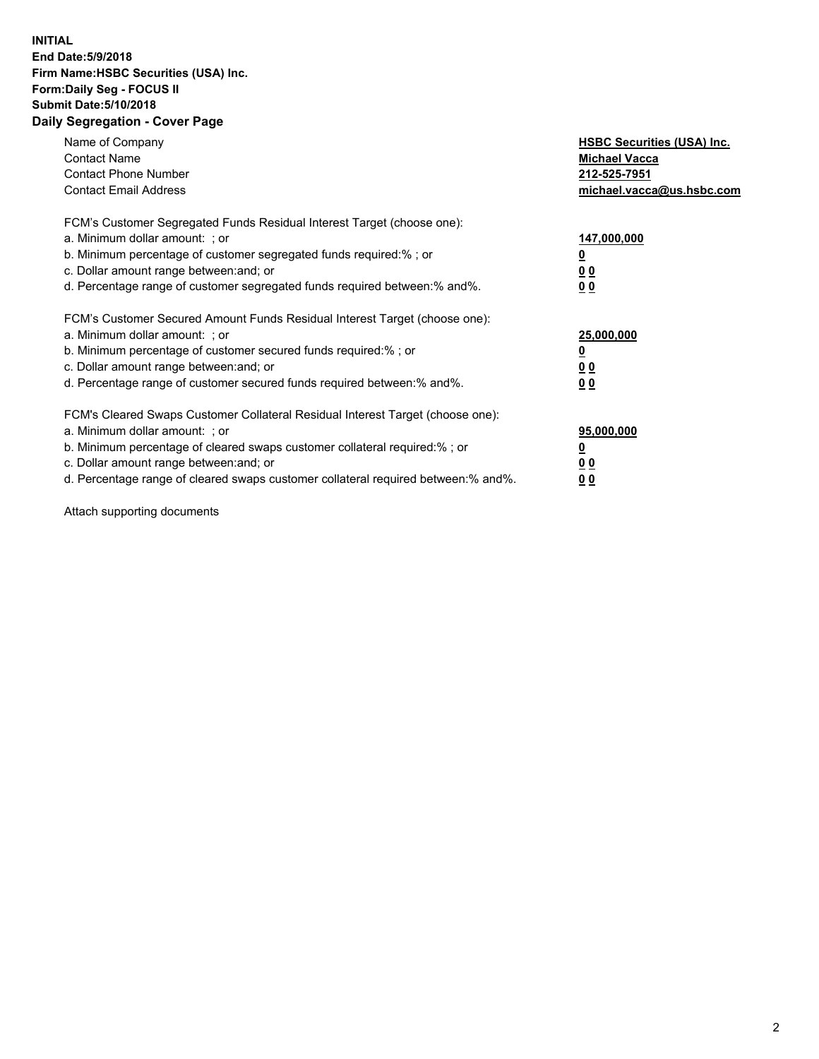## **INITIAL End Date:5/9/2018 Firm Name:HSBC Securities (USA) Inc. Form:Daily Seg - FOCUS II Submit Date:5/10/2018 Daily Segregation - Cover Page**

| Name of Company<br><b>Contact Name</b><br><b>Contact Phone Number</b><br><b>Contact Email Address</b>                                                                                                                                                                                                                          | <b>HSBC Securities (USA) Inc.</b><br><b>Michael Vacca</b><br>212-525-7951<br>michael.vacca@us.hsbc.com |
|--------------------------------------------------------------------------------------------------------------------------------------------------------------------------------------------------------------------------------------------------------------------------------------------------------------------------------|--------------------------------------------------------------------------------------------------------|
| FCM's Customer Segregated Funds Residual Interest Target (choose one):<br>a. Minimum dollar amount: ; or<br>b. Minimum percentage of customer segregated funds required:%; or<br>c. Dollar amount range between: and; or<br>d. Percentage range of customer segregated funds required between:% and%.                          | 147,000,000<br><u>0</u><br><u>00</u><br>00                                                             |
| FCM's Customer Secured Amount Funds Residual Interest Target (choose one):<br>a. Minimum dollar amount: ; or<br>b. Minimum percentage of customer secured funds required:%; or<br>c. Dollar amount range between: and; or<br>d. Percentage range of customer secured funds required between:% and%.                            | 25,000,000<br><u>0</u><br><u>00</u><br>00                                                              |
| FCM's Cleared Swaps Customer Collateral Residual Interest Target (choose one):<br>a. Minimum dollar amount: ; or<br>b. Minimum percentage of cleared swaps customer collateral required:% ; or<br>c. Dollar amount range between: and; or<br>d. Percentage range of cleared swaps customer collateral required between:% and%. | 95,000,000<br><u>0</u><br><u>00</u><br>0 <sub>0</sub>                                                  |

Attach supporting documents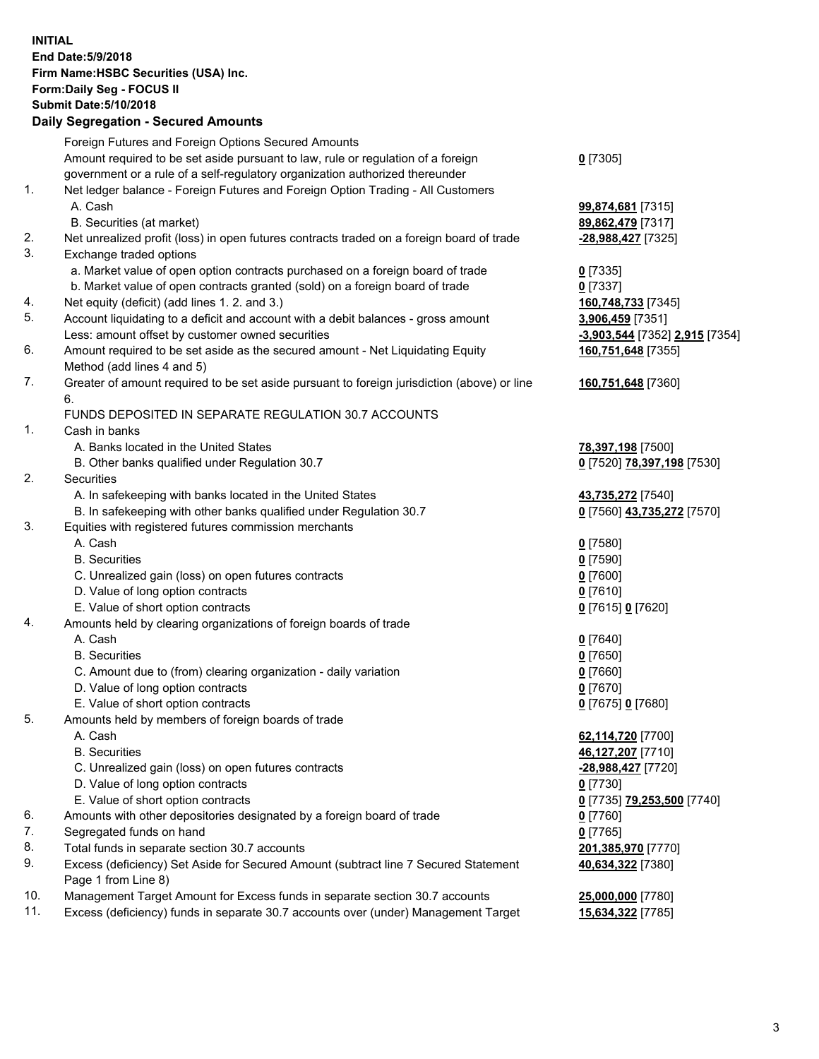**INITIAL End Date:5/9/2018 Firm Name:HSBC Securities (USA) Inc. Form:Daily Seg - FOCUS II Submit Date:5/10/2018 Daily Segregation - Secured Amounts** Foreign Futures and Foreign Options Secured Amounts Amount required to be set aside pursuant to law, rule or regulation of a foreign government or a rule of a self-regulatory organization authorized thereunder 1. Net ledger balance - Foreign Futures and Foreign Option Trading - All Customers A. Cash **99,874,681** [7315]

- B. Securities (at market) **89,862,479** [7317]
- 2. Net unrealized profit (loss) in open futures contracts traded on a foreign board of trade **-28,988,427** [7325]
- 3. Exchange traded options
	- a. Market value of open option contracts purchased on a foreign board of trade **0** [7335]
	- b. Market value of open contracts granted (sold) on a foreign board of trade **0** [7337]
- 4. Net equity (deficit) (add lines 1. 2. and 3.) **160,748,733** [7345]
- 5. Account liquidating to a deficit and account with a debit balances gross amount **3,906,459** [7351] Less: amount offset by customer owned securities **-3,903,544** [7352] **2,915** [7354]
- 6. Amount required to be set aside as the secured amount Net Liquidating Equity Method (add lines 4 and 5)
- 7. Greater of amount required to be set aside pursuant to foreign jurisdiction (above) or line 6.

## FUNDS DEPOSITED IN SEPARATE REGULATION 30.7 ACCOUNTS

- 1. Cash in banks
	- A. Banks located in the United States **78,397,198** [7500]
	- B. Other banks qualified under Regulation 30.7 **0** [7520] **78,397,198** [7530]
- 2. Securities
	- A. In safekeeping with banks located in the United States **43,735,272** [7540]
	- B. In safekeeping with other banks qualified under Regulation 30.7 **0** [7560] **43,735,272** [7570]
- 3. Equities with registered futures commission merchants
	-
	-
	- C. Unrealized gain (loss) on open futures contracts **0** [7600]
	- D. Value of long option contracts **0** [7610]
	- E. Value of short option contracts **0** [7615] **0** [7620]
- 4. Amounts held by clearing organizations of foreign boards of trade
	-
	-
	- C. Amount due to (from) clearing organization daily variation **0** [7660]
	- D. Value of long option contracts **0** [7670]
	- E. Value of short option contracts **0** [7675] **0** [7680]
- 5. Amounts held by members of foreign boards of trade
	-
	-
	- C. Unrealized gain (loss) on open futures contracts **-28,988,427** [7720]
	- D. Value of long option contracts **0** [7730]
	- E. Value of short option contracts **0** [7735] **79,253,500** [7740]
- 6. Amounts with other depositories designated by a foreign board of trade **0** [7760]
- 7. Segregated funds on hand **0** [7765]
- 8. Total funds in separate section 30.7 accounts **201,385,970** [7770]
- 9. Excess (deficiency) Set Aside for Secured Amount (subtract line 7 Secured Statement Page 1 from Line 8)
- 10. Management Target Amount for Excess funds in separate section 30.7 accounts **25,000,000** [7780]
- 11. Excess (deficiency) funds in separate 30.7 accounts over (under) Management Target **15,634,322** [7785]
- **0** [7305]
- 
- **160,751,648** [7355]
- **160,751,648** [7360]
- 
- 
- A. Cash **0** [7580] B. Securities **0** [7590]
- A. Cash **0** [7640] B. Securities **0** [7650]
	-
- A. Cash **62,114,720** [7700] B. Securities **46,127,207** [7710]
	- **40,634,322** [7380]
	-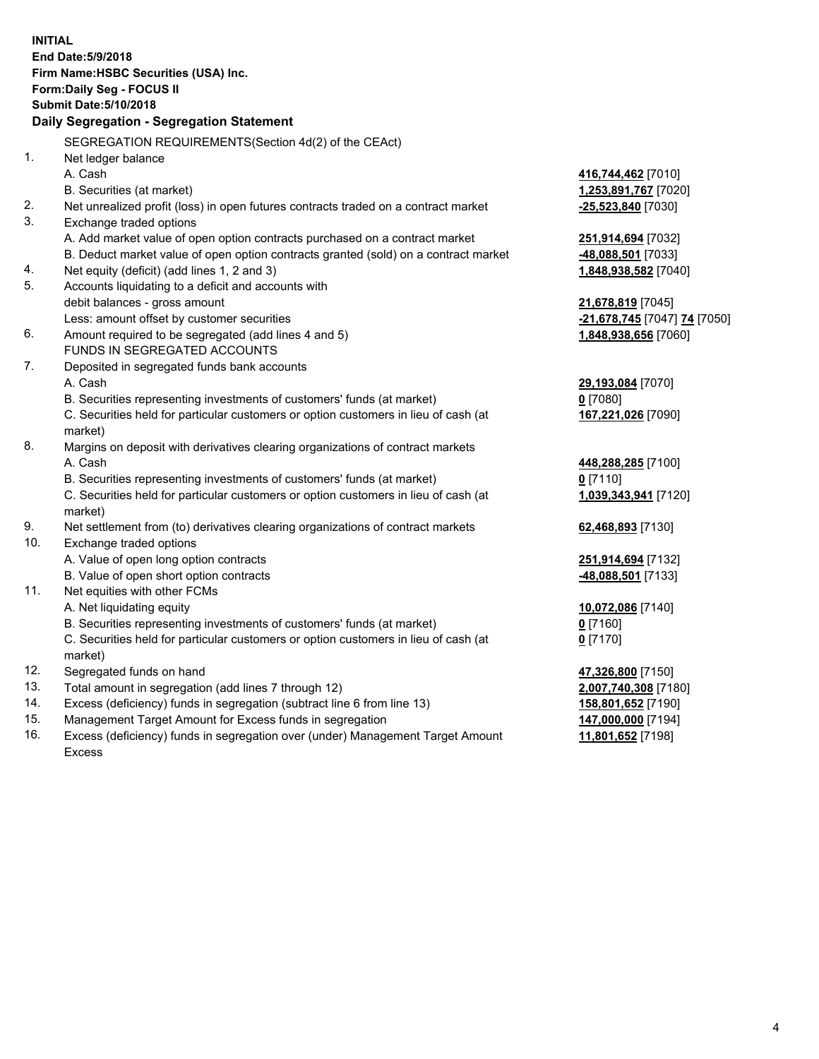| <b>INITIAL</b> | End Date: 5/9/2018<br>Firm Name: HSBC Securities (USA) Inc.<br>Form: Daily Seg - FOCUS II<br><b>Submit Date: 5/10/2018</b><br>Daily Segregation - Segregation Statement |                                          |
|----------------|-------------------------------------------------------------------------------------------------------------------------------------------------------------------------|------------------------------------------|
|                | SEGREGATION REQUIREMENTS(Section 4d(2) of the CEAct)                                                                                                                    |                                          |
| 1.             | Net ledger balance                                                                                                                                                      |                                          |
|                | A. Cash                                                                                                                                                                 | 416,744,462 [7010]                       |
|                | B. Securities (at market)                                                                                                                                               | 1,253,891,767 [7020]                     |
| 2.             | Net unrealized profit (loss) in open futures contracts traded on a contract market                                                                                      | -25,523,840 [7030]                       |
| 3.             | Exchange traded options                                                                                                                                                 |                                          |
|                | A. Add market value of open option contracts purchased on a contract market                                                                                             | 251,914,694 [7032]                       |
|                | B. Deduct market value of open option contracts granted (sold) on a contract market                                                                                     | -48,088,501 [7033]                       |
| 4.             | Net equity (deficit) (add lines 1, 2 and 3)                                                                                                                             | 1,848,938,582 [7040]                     |
| 5.             | Accounts liquidating to a deficit and accounts with                                                                                                                     |                                          |
|                | debit balances - gross amount                                                                                                                                           | 21,678,819 [7045]                        |
|                | Less: amount offset by customer securities                                                                                                                              | -21,678,745 [7047] 74 [7050]             |
| 6.             | Amount required to be segregated (add lines 4 and 5)                                                                                                                    | 1,848,938,656 [7060]                     |
|                | FUNDS IN SEGREGATED ACCOUNTS                                                                                                                                            |                                          |
| 7.             | Deposited in segregated funds bank accounts                                                                                                                             |                                          |
|                | A. Cash                                                                                                                                                                 | 29,193,084 [7070]                        |
|                | B. Securities representing investments of customers' funds (at market)                                                                                                  | $0$ [7080]                               |
|                | C. Securities held for particular customers or option customers in lieu of cash (at<br>market)                                                                          | 167,221,026 [7090]                       |
| 8.             | Margins on deposit with derivatives clearing organizations of contract markets                                                                                          |                                          |
|                | A. Cash                                                                                                                                                                 | 448,288,285 [7100]                       |
|                | B. Securities representing investments of customers' funds (at market)                                                                                                  | $0$ [7110]                               |
|                | C. Securities held for particular customers or option customers in lieu of cash (at<br>market)                                                                          | 1,039,343,941 [7120]                     |
| 9.             | Net settlement from (to) derivatives clearing organizations of contract markets                                                                                         | 62,468,893 [7130]                        |
| 10.            | Exchange traded options                                                                                                                                                 |                                          |
|                | A. Value of open long option contracts                                                                                                                                  | 251,914,694 [7132]                       |
|                | B. Value of open short option contracts                                                                                                                                 | -48,088,501 [7133]                       |
| 11.            | Net equities with other FCMs                                                                                                                                            |                                          |
|                | A. Net liquidating equity                                                                                                                                               | 10,072,086 [7140]                        |
|                | B. Securities representing investments of customers' funds (at market)                                                                                                  | 0 [7160]                                 |
|                | C. Securities held for particular customers or option customers in lieu of cash (at                                                                                     | $0$ [7170]                               |
|                | market)                                                                                                                                                                 |                                          |
| 12.            | Segregated funds on hand                                                                                                                                                | 47,326,800 [7150]                        |
| 13.<br>14.     | Total amount in segregation (add lines 7 through 12)<br>Excess (deficiency) funds in segregation (subtract line 6 from line 13)                                         | 2,007,740,308 [7180]                     |
| 15.            | Management Target Amount for Excess funds in segregation                                                                                                                | 158,801,652 [7190]<br>147,000,000 [7194] |
|                |                                                                                                                                                                         |                                          |

16. Excess (deficiency) funds in segregation over (under) Management Target Amount Excess

## **11,801,652** [7198]